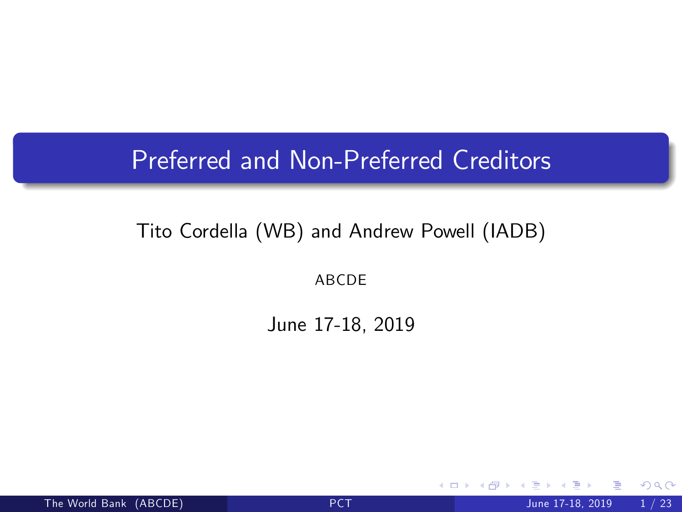#### Preferred and Non-Preferred Creditors

#### Tito Cordella (WB) and Andrew Powell (IADB)

ABCDE

June 17-18, 2019

<span id="page-0-0"></span>4 0 8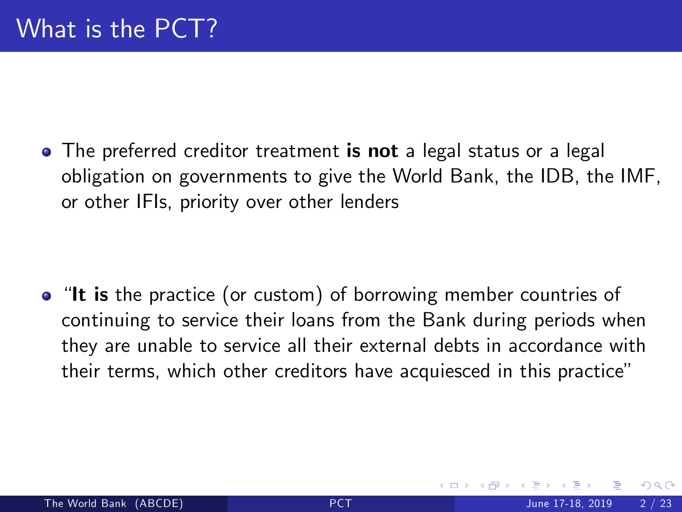• The preferred creditor treatment is not a legal status or a legal obligation on governments to give the World Bank, the IDB, the IMF, or other IFIs, priority over other lenders

• "It is the practice (or custom) of borrowing member countries of continuing to service their loans from the Bank during periods when they are unable to service all their external debts in accordance with their terms, which other creditors have acquiesced in this practice"

つひひ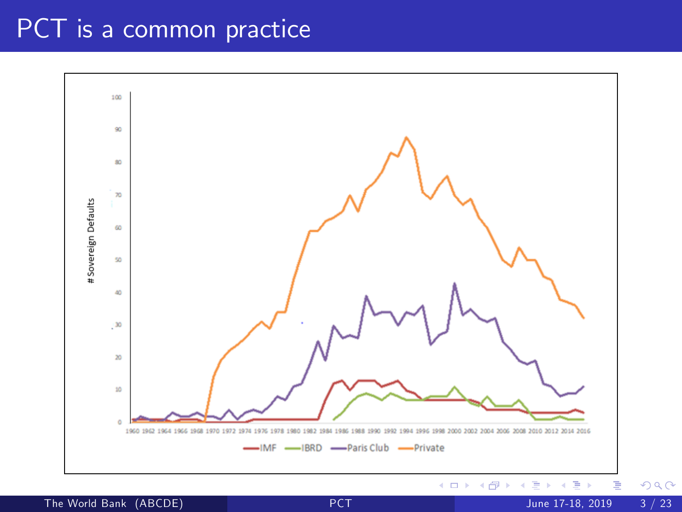### PCT is a common practice

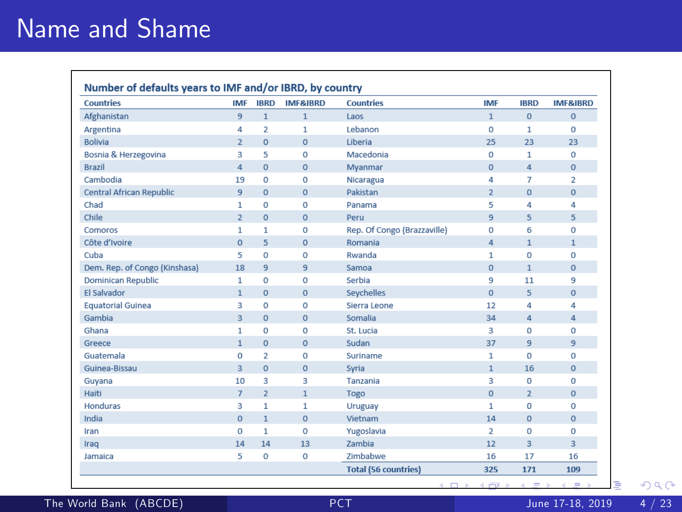## Name and Shame

| Countries                       | <b>IMF</b>     | <b>IBRD</b>             | <b>IMF&amp;IRRD</b> | <b>Countries</b>            | <b>IMF</b>     | <b>IBRD</b>    | <b>IMF&amp;IRRD</b> |
|---------------------------------|----------------|-------------------------|---------------------|-----------------------------|----------------|----------------|---------------------|
| Afghanistan                     | 9              | $\mathbf{1}$            | $\mathbf{1}$        | Laos                        | $\mathbf{1}$   | $\mathbf{0}$   | $\mathbf{0}$        |
| Argentina                       | 4              | $\overline{\mathbf{2}}$ | $\mathbf{1}$        | Lebanon                     | 0              | $\mathbf{1}$   | $\mathbf 0$         |
| <b>Bolivia</b>                  | $\overline{2}$ | $\overline{0}$          | $\mathbf 0$         | Liberia                     | 25             | 23             | 23                  |
| Bosnia & Herzegovina            | з              | 5                       | $\circ$             | Macedonia                   | 0              | 1              | $\Omega$            |
| <b>Brazil</b>                   | 4              | $\Omega$                | $\Omega$            | Mvanmar                     | $\Omega$       | $\overline{4}$ | $\Omega$            |
| Cambodia                        | 19             | $\circ$                 | $\mathbf 0$         | Nicaragua                   | 4              | $\overline{7}$ | $\overline{2}$      |
| <b>Central African Republic</b> | $\overline{9}$ | $\overline{0}$          | $\Omega$            | Pakistan                    | $\overline{2}$ | $\Omega$       | $\Omega$            |
| Chad                            | 1              | $\mathbf 0$             | $\mathbf 0$         | Panama                      | 5              | 4              | 4                   |
| Chile                           | $\overline{2}$ | $\overline{0}$          | $\circ$             | Peru                        | $\overline{9}$ | 5              | 5                   |
| Comoros                         | 1              | 1                       | $\mathbf 0$         | Rep. Of Congo (Brazzaville) | $\Omega$       | 6              | $\Omega$            |
| Côte d'Ivoire                   | $\Omega$       | 5                       | $\circ$             | Romania                     | 4              | $\mathbf{1}$   | $\mathbf{1}$        |
| Cuba                            | 5              | $\circ$                 | $\circ$             | Rwanda                      | $\mathbf{1}$   | $\mathbf 0$    | $\mathbf 0$         |
| Dem. Rep. of Congo (Kinshasa)   | 18             | 9                       | 9                   | Samoa                       | $\mathbf{0}$   | $\mathbf{1}$   | $\Omega$            |
| <b>Dominican Republic</b>       | 1              | $\mathbf 0$             | $\mathbf 0$         | Serbia                      | 9              | 11             | 9                   |
| <b>El Salvador</b>              | $\mathbf{1}$   | $\overline{0}$          | $\mathbf 0$         | Seychelles                  | $\mathbf{0}$   | 5              | $\mathbf{0}$        |
| <b>Equatorial Guinea</b>        | 3              | 0                       | $\circ$             | Sierra Leone                | 12             | 4              | 4                   |
| Gambia                          | 3              | $\overline{O}$          | $\mathbf{0}$        | Somalia                     | 34             | $\overline{4}$ | 4                   |
| Ghana                           | $\mathbf{1}$   | $\Omega$                | $\Omega$            | St. Lucia                   | 3              | $\Omega$       | $\Omega$            |
| Greece                          | $\mathbf{1}$   | $\overline{0}$          | $\Omega$            | Sudan                       | 37             | 9              | $\overline{9}$      |
| Guatemala                       | $\mathbf 0$    | $\overline{\mathbf{2}}$ | o                   | Suriname                    | 1              | $\mathbf 0$    | $\mathbf 0$         |
| Guinea-Bissau                   | 3              | $\overline{0}$          | $\mathbf{0}$        | Syria                       | $\mathbf{1}$   | 16             | $\mathbf{0}$        |
| Guyana                          | 10             | 3                       | 3                   | Tanzania                    | з              | $\Omega$       | $\Omega$            |
| Haiti                           | $\overline{7}$ | $\overline{2}$          | $\mathbf{1}$        | Togo                        | $\Omega$       | $\overline{2}$ | $\Omega$            |
| Honduras                        | 3              | $\mathbf{1}$            | 1                   | Uruguay                     | $\mathbf{1}$   | $\Omega$       | $\Omega$            |
| India                           | $\mathbf{0}$   | $\mathbf{1}$            | $\mathbf 0$         | Vietnam                     | 14             | $\mathbf{0}$   | $\Omega$            |
| Iran                            | $\mathbf 0$    | $\mathbf{1}$            | $\mathbf 0$         | Yugoslavia                  | 2              | $\mathbf{0}$   | $\mathbf 0$         |
| Iraq                            | 14             | 14                      | 13                  | Zambia                      | 12             | $\overline{3}$ | 3                   |
| lamaica                         | 5              | 0                       | $\mathbf 0$         | <b>Zimbabwe</b>             | 16             | 17             | 16                  |
|                                 |                |                         |                     | <b>Total (56 countries)</b> | 325            | 171            | 109                 |

The World Bank (ABCDE) [PCT](#page-0-0) June 17-18, 2019 4 / 23

Þ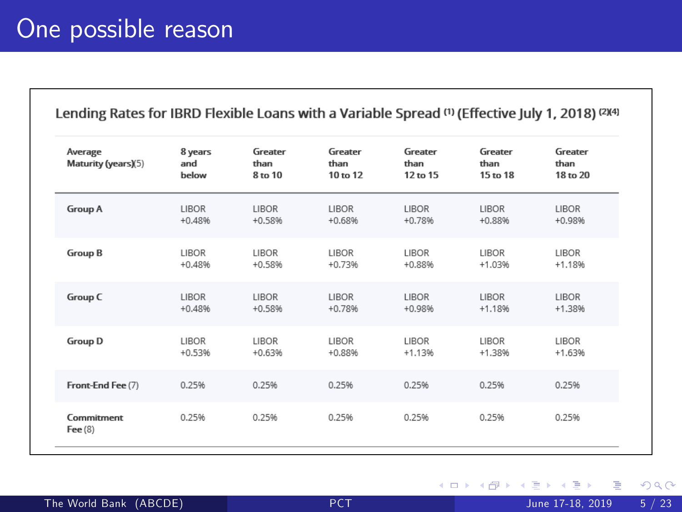| Average<br>Maturity (years)(5) | 8 years<br>and<br>below | Greater<br>than<br>8 to 10 | Greater<br>than<br>10 to 12 | Greater<br>than<br>12 to 15 | Greater<br>than<br>15 to 18 | Greater<br>than<br>18 to 20 |
|--------------------------------|-------------------------|----------------------------|-----------------------------|-----------------------------|-----------------------------|-----------------------------|
| <b>Group A</b>                 | <b>LIBOR</b>            | LIBOR                      | <b>LIBOR</b>                | LIBOR                       | <b>LIBOR</b>                | <b>LIBOR</b>                |
|                                | $+0.48%$                | $+0.58%$                   | $+0.68%$                    | $+0.78%$                    | $+0.88%$                    | $+0.98%$                    |
| <b>Group B</b>                 | <b>LIBOR</b>            | <b>LIBOR</b>               | <b>LIBOR</b>                | LIBOR                       | <b>LIBOR</b>                | LIBOR                       |
|                                | $+0.48%$                | $+0.58%$                   | $+0.73%$                    | $+0.88%$                    | $+1.03%$                    | $+1.1896$                   |
| Group C                        | LIBOR                   | LIBOR                      | <b>LIBOR</b>                | LIBOR                       | <b>LIBOR</b>                | <b>LIBOR</b>                |
|                                | $+0.48%$                | $+0.58%$                   | $+0.78%$                    | $+0.98%$                    | $+1.1896$                   | $+1.3896$                   |
| <b>Group D</b>                 | <b>LIBOR</b>            | LIBOR                      | <b>LIBOR</b>                | LIBOR                       | LIBOR                       | <b>LIBOR</b>                |
|                                | $+0.53%$                | $+0.63%$                   | $+0.88%$                    | $+1.13%$                    | $+1.38%$                    | $+1.63%$                    |
| Front-End Fee (7)              | 0.25%                   | 0.25%                      | 0.25%                       | 0.25%                       | 0.25%                       | 0.25%                       |
| Commitment<br>Fee $(8)$        | 0.25%                   | 0.25%                      | 0.25%                       | 0.25%                       | 0.25%                       | 0.25%                       |

画

**K ロ ト K 伊 ト K**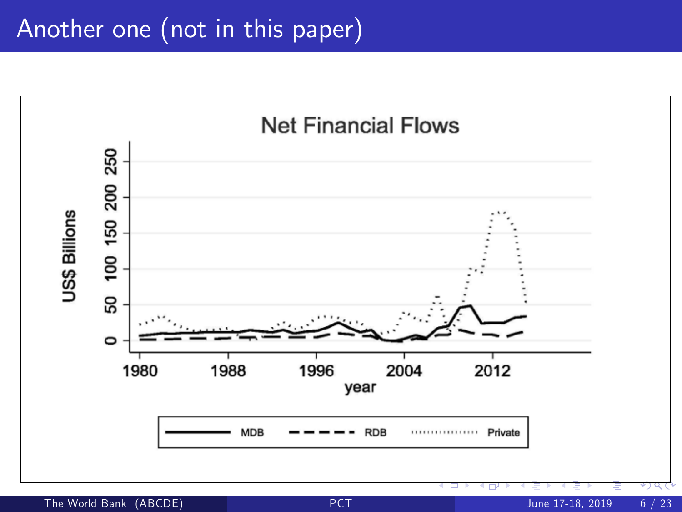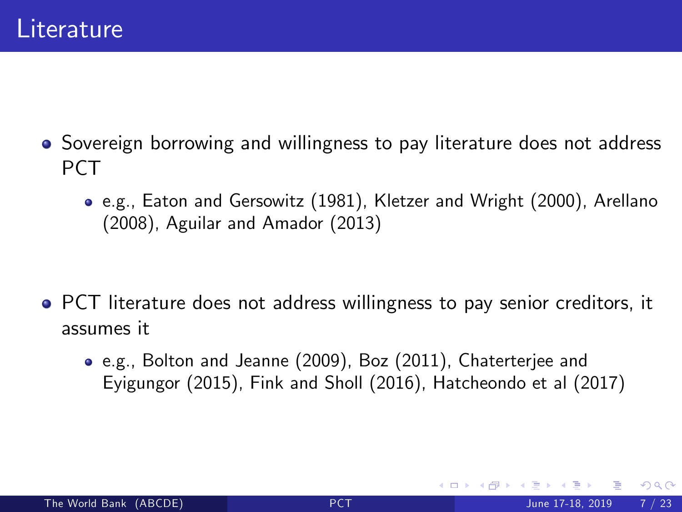- Sovereign borrowing and willingness to pay literature does not address PCT
	- e.g., Eaton and Gersowitz (1981), Kletzer and Wright (2000), Arellano (2008), Aguilar and Amador (2013)

- PCT literature does not address willingness to pay senior creditors, it assumes it
	- e.g., Bolton and Jeanne (2009), Boz (2011), Chaterterjee and Eyigungor (2015), Fink and Sholl (2016), Hatcheondo et al (2017)

つひひ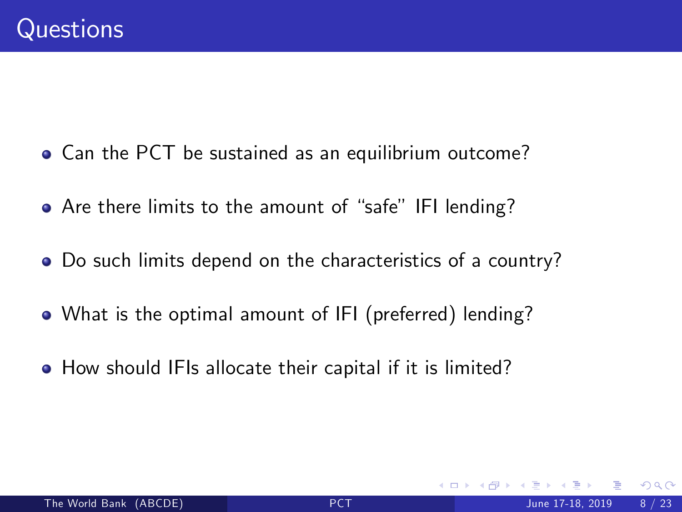- Can the PCT be sustained as an equilibrium outcome?
- Are there limits to the amount of "safe" IFI lending?
- Do such limits depend on the characteristics of a country?
- What is the optimal amount of IFI (preferred) lending?
- **•** How should IFIs allocate their capital if it is limited?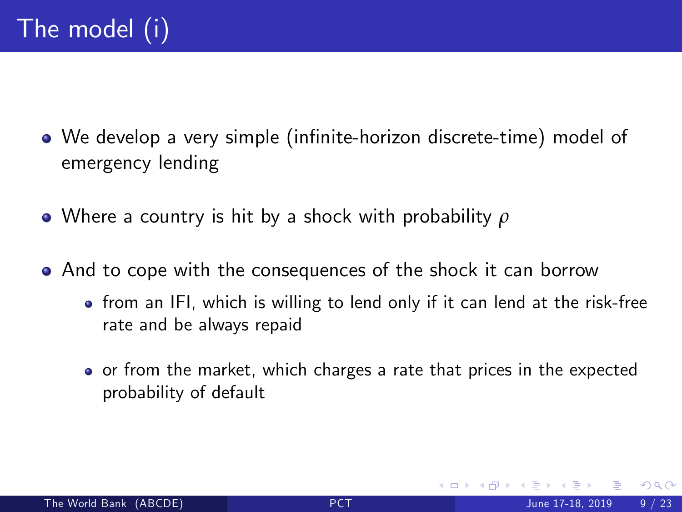- We develop a very simple (infinite-horizon discrete-time) model of emergency lending
- Where a country is hit by a shock with probability *ρ*
- And to cope with the consequences of the shock it can borrow
	- from an IFI, which is willing to lend only if it can lend at the risk-free rate and be always repaid
	- o or from the market, which charges a rate that prices in the expected probability of default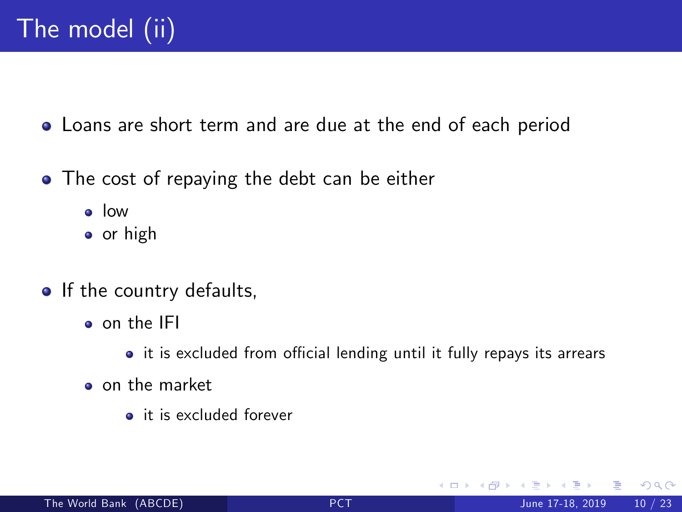Loans are short term and are due at the end of each period

- The cost of repaying the debt can be either
	- low
	- **o** or high
- If the country defaults,
	- o on the IFI
		- it is excluded from official lending until it fully repays its arrears
	- on the market
		- **a** it is excluded forever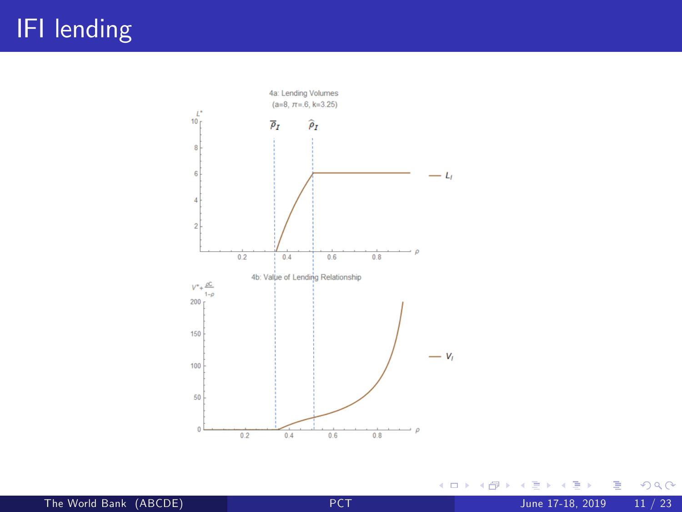## IFI lending



重

 $298$ 

 $\mathbf{y} = \mathbf{y} \oplus \mathbf{y}$ 

Þ

**K ロ ト K 伊 ト K**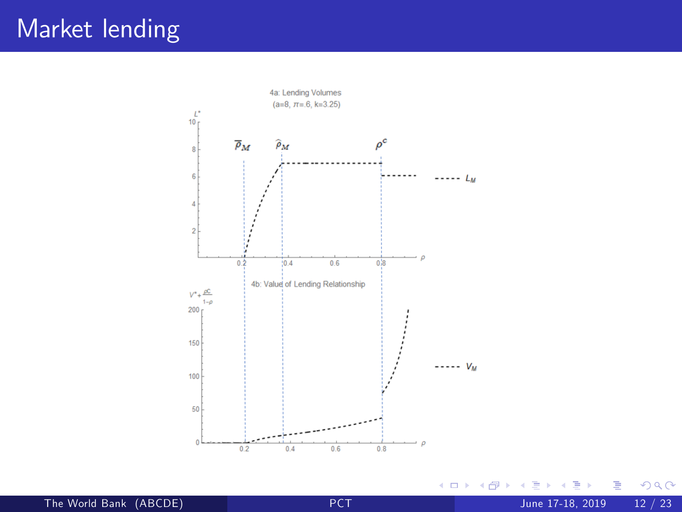### Market lending



**≮ロ ▶ (伊 )** 

 $\mathcal{A}$ ∍  $\sim$  $\mathcal{A}$  ÷,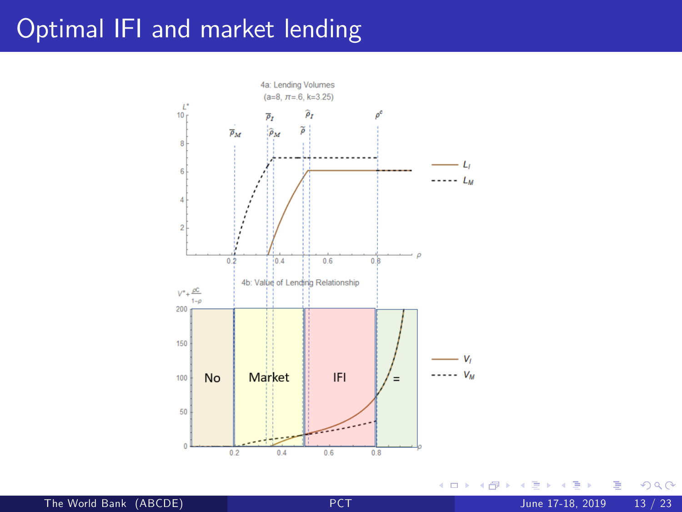## Optimal IFI and market lending



4 0 8

×.  $\rightarrow$  ×  $\mathcal{A}$  э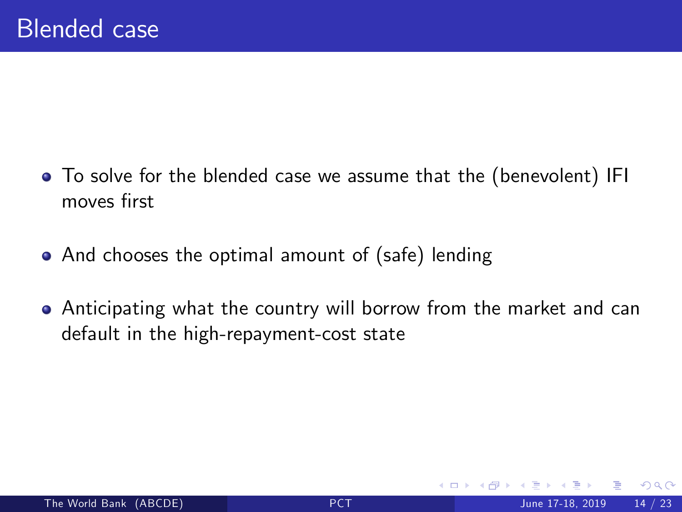- To solve for the blended case we assume that the (benevolent) IFI moves first
- And chooses the optimal amount of (safe) lending
- Anticipating what the country will borrow from the market and can default in the high-repayment-cost state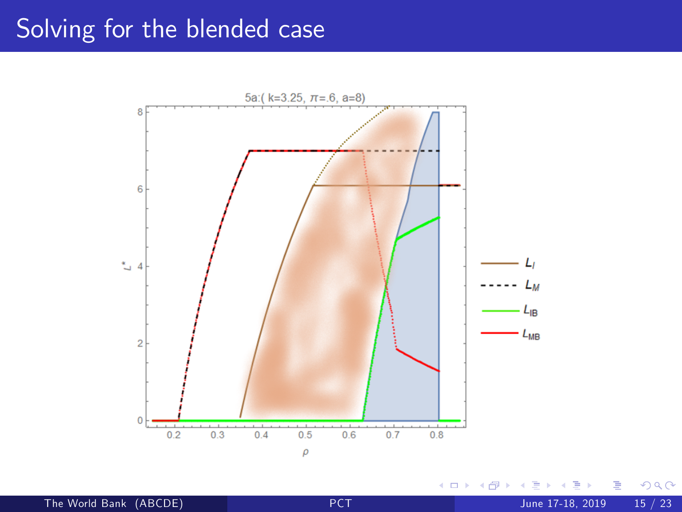#### Solving for the blended case



 $\leftarrow$   $\Box$ 

ä × Þ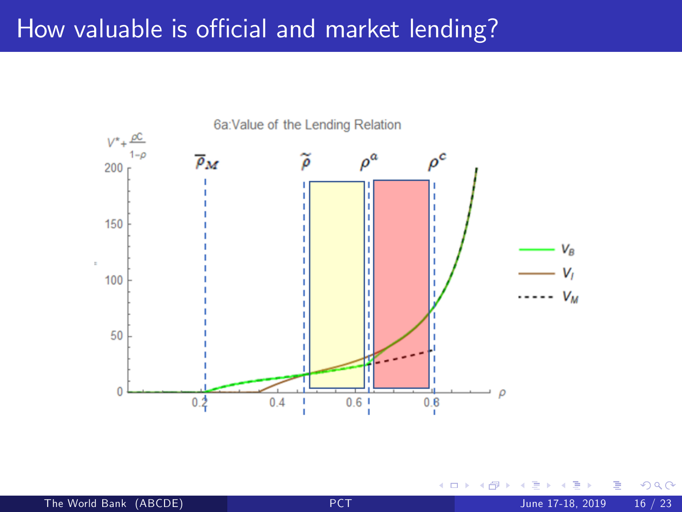#### How valuable is official and market lending?



4 0 8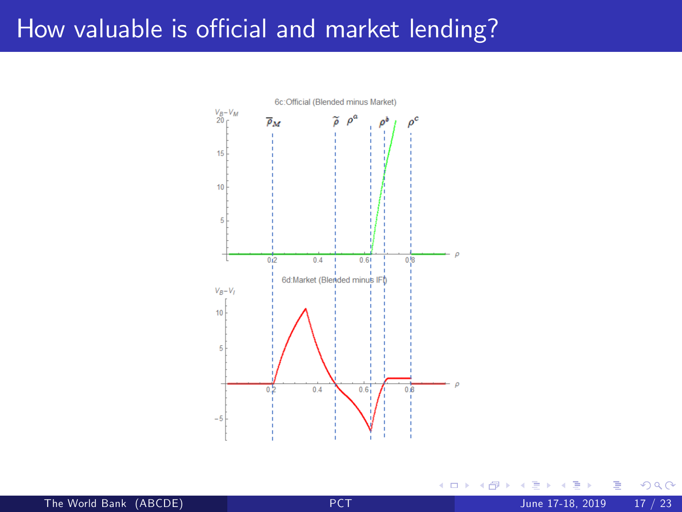#### How valuable is official and market lending?



4 0 8

The World Bank (ABCDE) [PCT](#page-0-0) June 17-18, 2019 17 / 23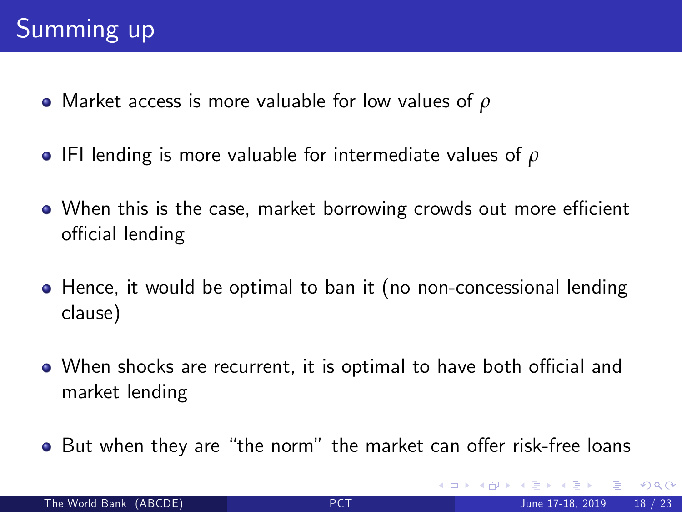- Market access is more valuable for low values of *ρ*
- IFI lending is more valuable for intermediate values of *ρ*
- When this is the case, market borrowing crowds out more efficient official lending
- Hence, it would be optimal to ban it (no non-concessional lending clause)
- When shocks are recurrent, it is optimal to have both official and market lending
- But when they are "the norm" the market can offer risk-free loans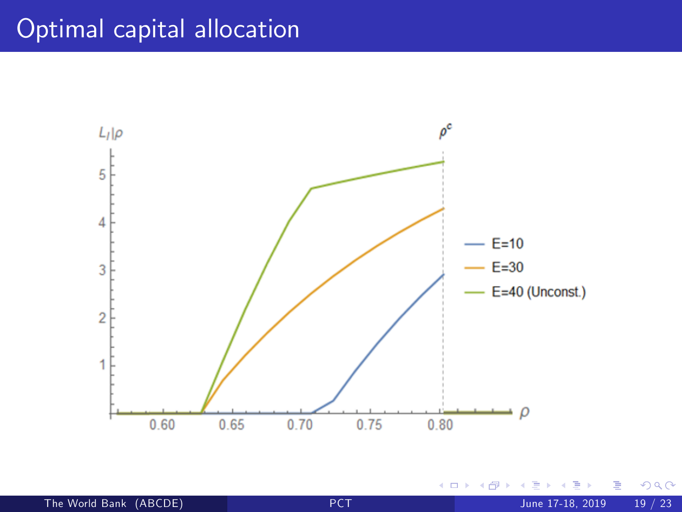## Optimal capital allocation



4.0.3

Þ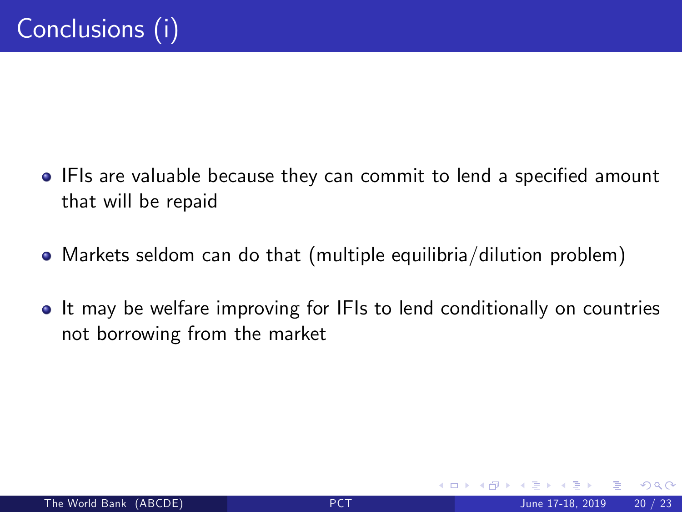- IFIs are valuable because they can commit to lend a specified amount that will be repaid
- Markets seldom can do that (multiple equilibria/dilution problem)
- It may be welfare improving for IFIs to lend conditionally on countries not borrowing from the market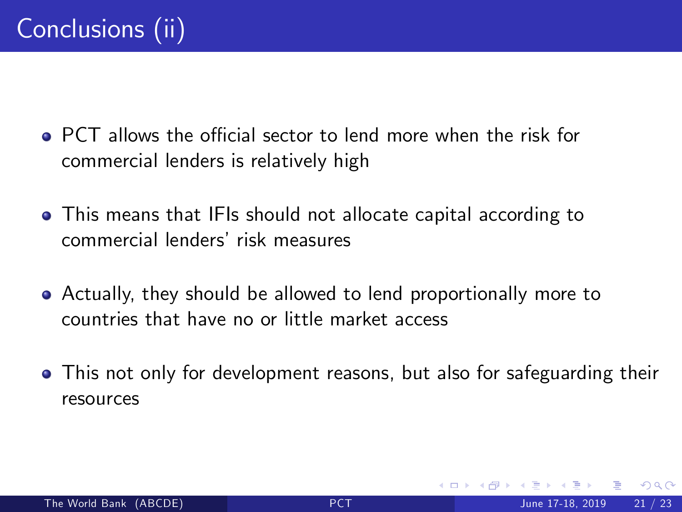- $\bullet$  PCT allows the official sector to lend more when the risk for commercial lenders is relatively high
- This means that IFIs should not allocate capital according to commercial lenders' risk measures
- Actually, they should be allowed to lend proportionally more to countries that have no or little market access
- This not only for development reasons, but also for safeguarding their resources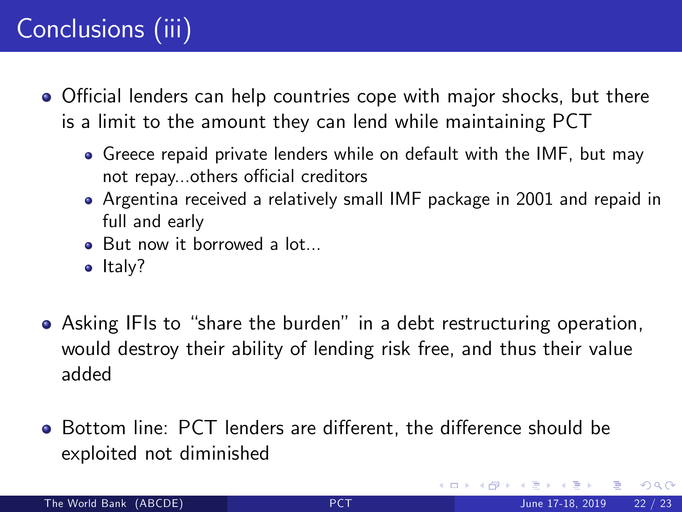## Conclusions (iii)

- Official lenders can help countries cope with major shocks, but there is a limit to the amount they can lend while maintaining PCT
	- Greece repaid private lenders while on default with the IMF, but may not repay...others official creditors
	- Argentina received a relatively small IMF package in 2001 and repaid in full and early
	- But now it borrowed a lot...
	- $\bullet$  Italy?
- Asking IFIs to "share the burden" in a debt restructuring operation, would destroy their ability of lending risk free, and thus their value added
- Bottom line: PCT lenders are different, the difference should be exploited not diminished